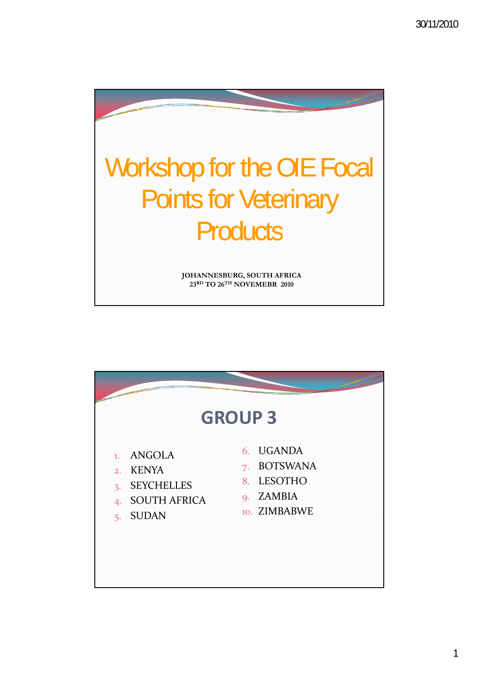

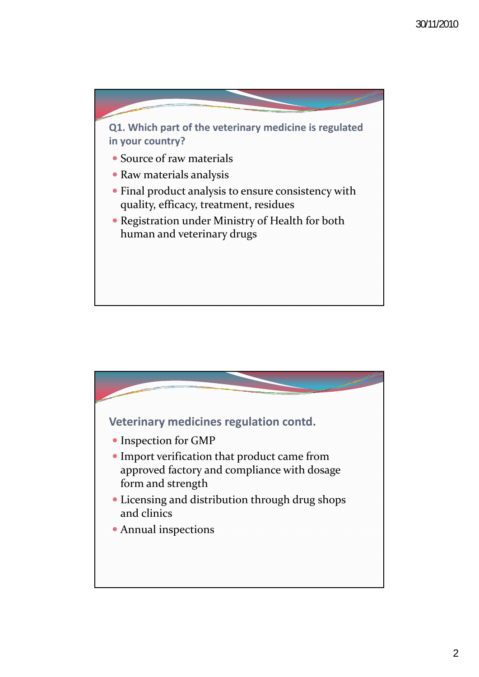

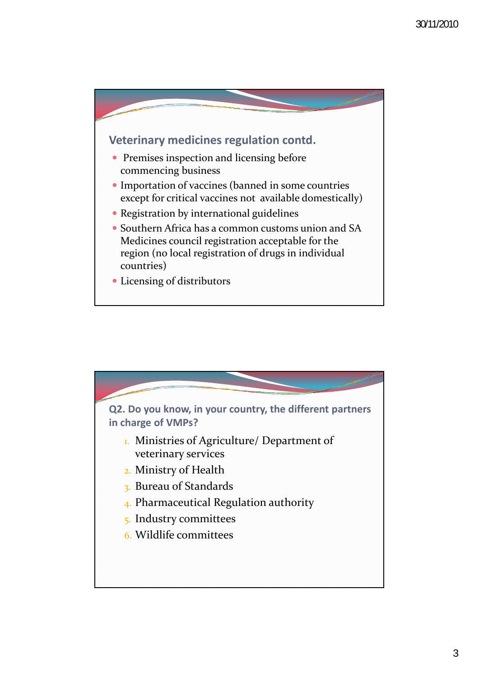

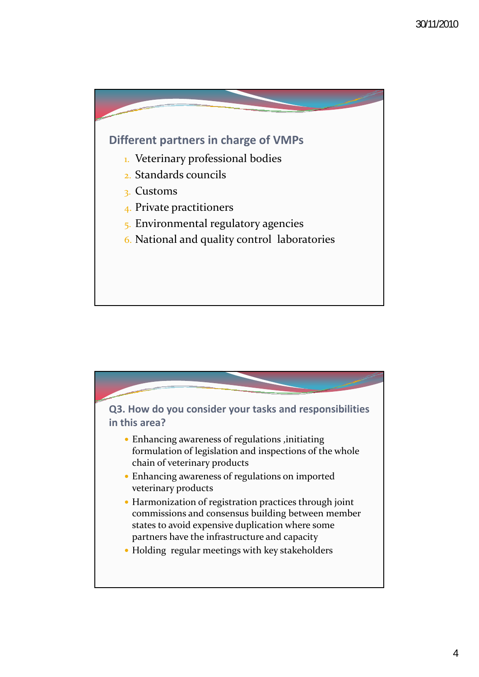

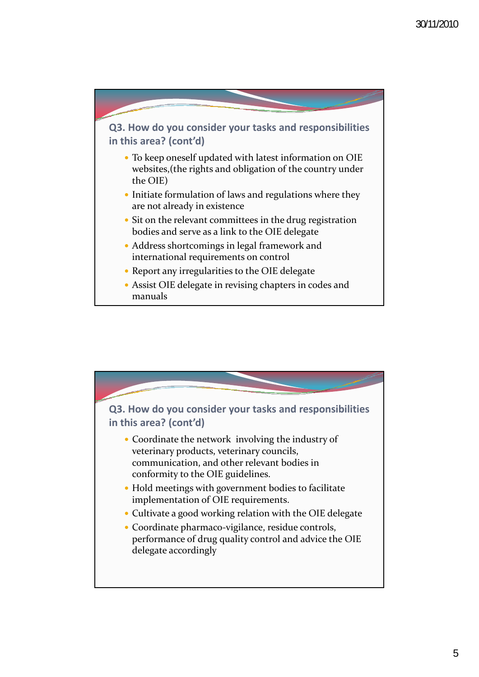

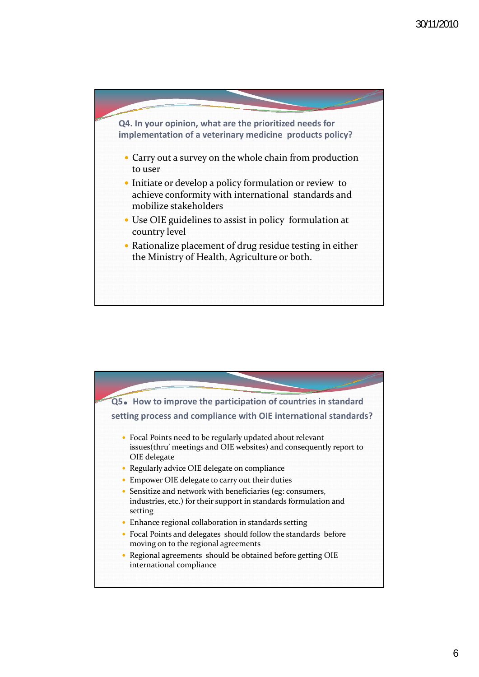